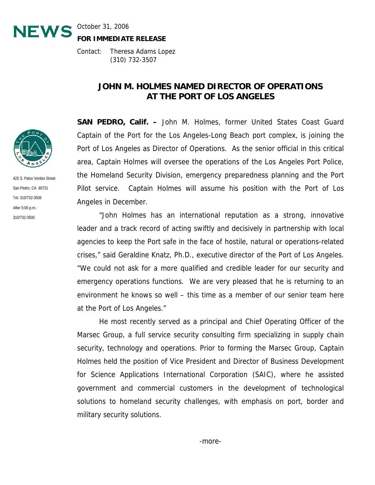

**FOR IMMEDIATE RELEASE**

Contact: Theresa Adams Lopez (310) 732-3507

## **JOHN M. HOLMES NAMED DIRECTOR OF OPERATIONS AT THE PORT OF LOS ANGELES**

**SAN PEDRO, Calif. –** John M. Holmes, former United States Coast Guard Captain of the Port for the Los Angeles-Long Beach port complex, is joining the Port of Los Angeles as Director of Operations. As the senior official in this critical area, Captain Holmes will oversee the operations of the Los Angeles Port Police, the Homeland Security Division, emergency preparedness planning and the Port Pilot service. Captain Holmes will assume his position with the Port of Los Angeles in December.

310/732.3500 "John Holmes has an international reputation as a strong, innovative leader and a track record of acting swiftly and decisively in partnership with local agencies to keep the Port safe in the face of hostile, natural or operations-related crises," said Geraldine Knatz, Ph.D., executive director of the Port of Los Angeles. "We could not ask for a more qualified and credible leader for our security and emergency operations functions. We are very pleased that he is returning to an environment he knows so well – this time as a member of our senior team here at the Port of Los Angeles."

> He most recently served as a principal and Chief Operating Officer of the Marsec Group, a full service security consulting firm specializing in supply chain security, technology and operations. Prior to forming the Marsec Group, Captain Holmes held the position of Vice President and Director of Business Development for Science Applications International Corporation (SAIC), where he assisted government and commercial customers in the development of technological solutions to homeland security challenges, with emphasis on port, border and military security solutions.



425 S. Palos Verdes Street San Pedro, CA 90731 Tel: 310/732-3508 After 5:00 p.m.: